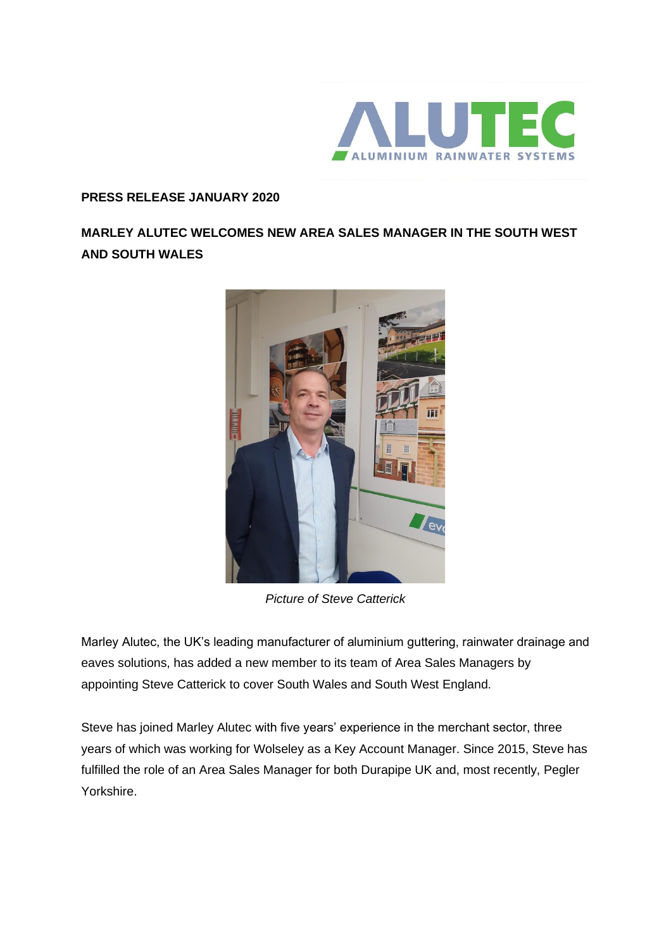

## **PRESS RELEASE JANUARY 2020**

## **MARLEY ALUTEC WELCOMES NEW AREA SALES MANAGER IN THE SOUTH WEST AND SOUTH WALES**



*Picture of Steve Catterick*

Marley Alutec, the UK's leading manufacturer of aluminium guttering, rainwater drainage and eaves solutions, has added a new member to its team of Area Sales Managers by appointing Steve Catterick to cover South Wales and South West England.

Steve has joined Marley Alutec with five years' experience in the merchant sector, three years of which was working for Wolseley as a Key Account Manager. Since 2015, Steve has fulfilled the role of an Area Sales Manager for both Durapipe UK and, most recently, Pegler Yorkshire.